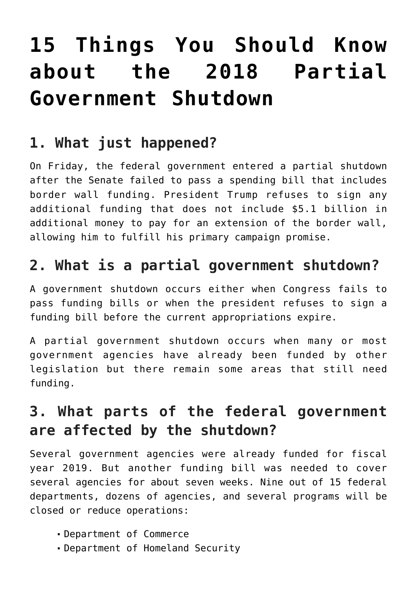# **[15 Things You Should Know](https://intellectualtakeout.org/2018/12/15-things-you-should-know-about-the-2018-partial-government-shutdown/) [about the 2018 Partial](https://intellectualtakeout.org/2018/12/15-things-you-should-know-about-the-2018-partial-government-shutdown/) [Government Shutdown](https://intellectualtakeout.org/2018/12/15-things-you-should-know-about-the-2018-partial-government-shutdown/)**

#### **1. What just happened?**

On Friday, the federal government entered a partial shutdown after the Senate failed to pass a spending bill that includes border wall funding. President Trump refuses to sign any additional funding that does not include \$5.1 billion in additional money to pay for an extension of the border wall, allowing him to fulfill his primary campaign promise.

#### **2. What is a partial government shutdown?**

A government shutdown occurs either when Congress fails to pass funding bills or when the president refuses to sign a funding bill before the current appropriations expire.

A partial government shutdown occurs when many or most government agencies have already been funded by other legislation but there remain some areas that still need funding.

#### **3. What parts of the federal government are affected by the shutdown?**

Several government agencies were already funded for fiscal year 2019. But another funding bill was needed to cover several agencies for about seven weeks. Nine out of 15 federal departments, dozens of agencies, and several programs will be closed or reduce operations:

- Department of Commerce
- Department of Homeland Security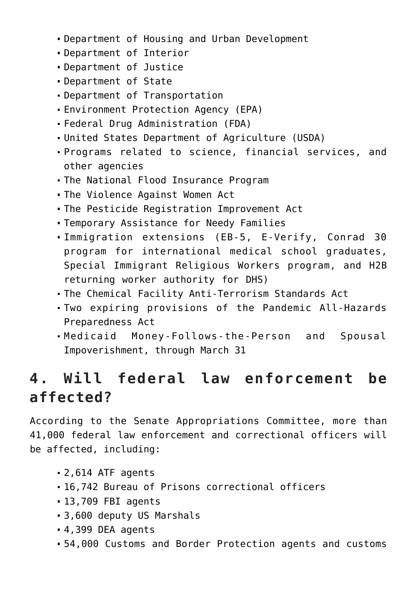- Department of Housing and Urban Development
- Department of Interior
- Department of Justice
- Department of State
- Department of Transportation
- Environment Protection Agency (EPA)
- Federal Drug Administration (FDA)
- United States Department of Agriculture (USDA)
- Programs related to science, financial services, and other agencies
- The National Flood Insurance Program
- The Violence Against Women Act
- The Pesticide Registration Improvement Act
- Temporary Assistance for Needy Families
- Immigration extensions (EB-5, E-Verify, Conrad 30 program for international medical school graduates, Special Immigrant Religious Workers program, and H2B returning worker authority for DHS)
- The Chemical Facility Anti-Terrorism Standards Act
- Two expiring provisions of the Pandemic All-Hazards Preparedness Act
- Medicaid Money-Follows-the-Person and Spousal Impoverishment, through March 31

# **4. Will federal law enforcement be affected?**

According to the Senate Appropriations Committee, more than 41,000 federal law enforcement and correctional officers will be affected, including:

- 2,614 ATF agents
- 16,742 Bureau of Prisons correctional officers
- 13,709 FBI agents
- 3,600 deputy US Marshals
- 4,399 DEA agents
- 54,000 Customs and Border Protection agents and customs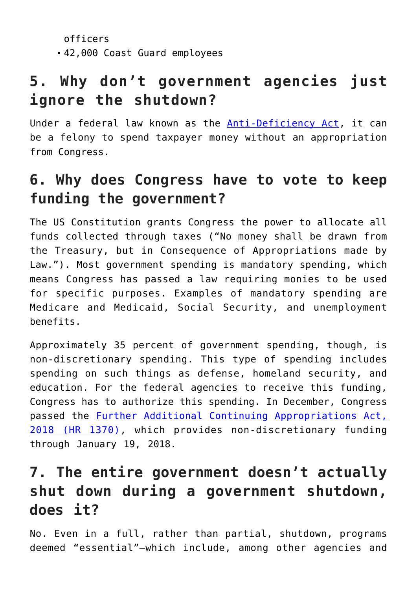```
officers
42,000 Coast Guard employees
```
# **5. Why don't government agencies just ignore the shutdown?**

Under a federal law known as the **Anti-Deficiency Act**, it can be a felony to spend taxpayer money without an appropriation from Congress.

#### **6. Why does Congress have to vote to keep funding the government?**

The US Constitution grants Congress the power to allocate all funds collected through taxes ("No money shall be drawn from the Treasury, but in Consequence of Appropriations made by Law."). Most government spending is mandatory spending, which means Congress has passed a law requiring monies to be used for specific purposes. Examples of mandatory spending are Medicare and Medicaid, Social Security, and unemployment benefits.

Approximately 35 percent of government spending, though, is non-discretionary spending. This type of spending includes spending on such things as defense, homeland security, and education. For the federal agencies to receive this funding, Congress has to authorize this spending. In December, Congress passed the [Further Additional Continuing Appropriations Act,](https://www.congress.gov/bill/115th-congress/house-joint-resolution/124) [2018 \(HR 1370\),](https://www.congress.gov/bill/115th-congress/house-joint-resolution/124) which provides non-discretionary funding through January 19, 2018.

#### **7. The entire government doesn't actually shut down during a government shutdown, does it?**

No. Even in a full, rather than partial, shutdown, programs deemed "essential"—which include, among other agencies and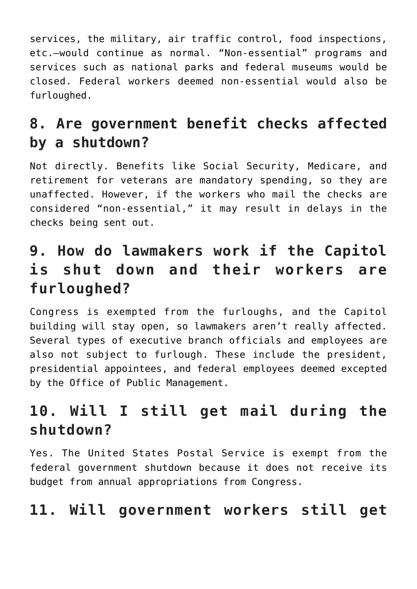services, the military, air traffic control, food inspections, etc.—would continue as normal. "Non-essential" programs and services such as national parks and federal museums would be closed. Federal workers deemed non-essential would also be furloughed.

# **8. Are government benefit checks affected by a shutdown?**

Not directly. Benefits like Social Security, Medicare, and retirement for veterans are mandatory spending, so they are unaffected. However, if the workers who mail the checks are considered "non-essential," it may result in delays in the checks being sent out.

#### **9. How do lawmakers work if the Capitol is shut down and their workers are furloughed?**

Congress is exempted from the furloughs, and the Capitol building will stay open, so lawmakers aren't really affected. Several types of executive branch officials and employees are also not subject to furlough. These include the president, presidential appointees, and federal employees deemed excepted by the Office of Public Management.

# **10. Will I still get mail during the shutdown?**

Yes. The United States Postal Service is exempt from the federal government shutdown because it does not receive its budget from annual appropriations from Congress.

#### **11. Will government workers still get**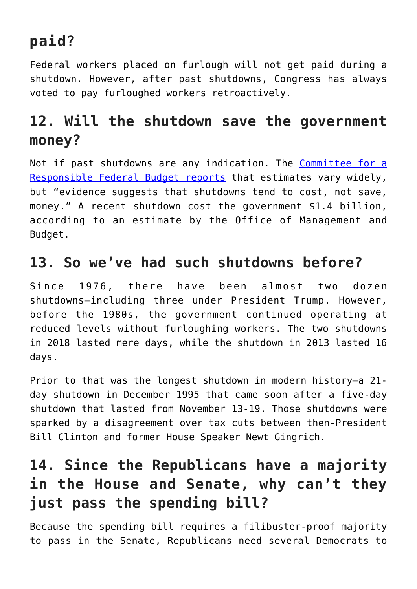# **paid?**

Federal workers placed on furlough will not get paid during a shutdown. However, after past shutdowns, Congress has always voted to pay furloughed workers retroactively.

# **12. Will the shutdown save the government money?**

Not if past shutdowns are any indication. The [Committee for a](http://news.yahoo.com/government-shutdown-101-12-ways-could-affect-181434269.html) [Responsible Federal Budget reports](http://news.yahoo.com/government-shutdown-101-12-ways-could-affect-181434269.html) that estimates vary widely, but "evidence suggests that shutdowns tend to cost, not save, money." A recent shutdown cost the government \$1.4 billion, according to an estimate by the Office of Management and Budget.

#### **13. So we've had such shutdowns before?**

Since 1976, there have been almost two dozen shutdowns—including three under President Trump. However, before the 1980s, the government continued operating at reduced levels without furloughing workers. The two shutdowns in 2018 lasted mere days, while the shutdown in 2013 lasted 16 days.

Prior to that was the longest shutdown in modern history—a 21 day shutdown in December 1995 that came soon after a five-day shutdown that lasted from November 13-19. Those shutdowns were sparked by a disagreement over tax cuts between then-President Bill Clinton and former House Speaker Newt Gingrich.

# **14. Since the Republicans have a majority in the House and Senate, why can't they just pass the spending bill?**

Because the spending bill requires a filibuster-proof majority to pass in the Senate, Republicans need several Democrats to